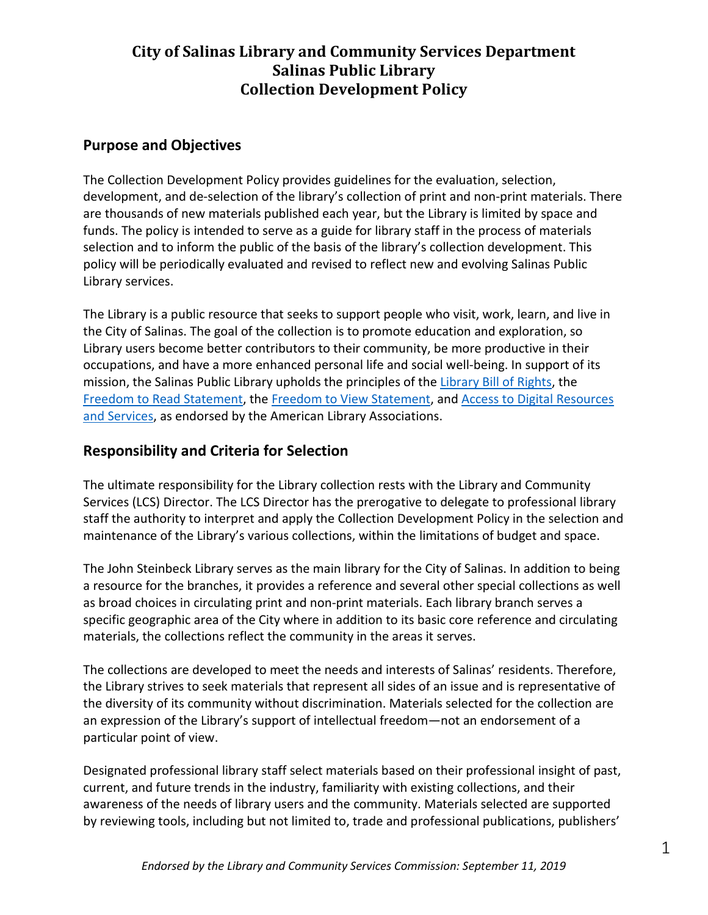## **Purpose and Objectives**

The Collection Development Policy provides guidelines for the evaluation, selection, development, and de-selection of the library's collection of print and non-print materials. There are thousands of new materials published each year, but the Library is limited by space and funds. The policy is intended to serve as a guide for library staff in the process of materials selection and to inform the public of the basis of the library's collection development. This policy will be periodically evaluated and revised to reflect new and evolving Salinas Public Library services.

The Library is a public resource that seeks to support people who visit, work, learn, and live in the City of Salinas. The goal of the collection is to promote education and exploration, so Library users become better contributors to their community, be more productive in their occupations, and have a more enhanced personal life and social well-being. In support of its mission, the Salinas Public Library upholds the principles of the [Library Bill of Rights,](http://www.ala.org/advocacy/intfreedom/librarybill) the [Freedom to Read Statement,](http://www.ala.org/advocacy/intfreedom/freedomreadstatement) th[e Freedom to View Statement,](http://www.ala.org/advocacy/intfreedom/freedomviewstatement) and [Access to Digital Resources](http://www.ala.org/advocacy/intfreedom/librarybill/interpretations/digital)  [and Services,](http://www.ala.org/advocacy/intfreedom/librarybill/interpretations/digital) as endorsed by the American Library Associations.

#### **Responsibility and Criteria for Selection**

The ultimate responsibility for the Library collection rests with the Library and Community Services (LCS) Director. The LCS Director has the prerogative to delegate to professional library staff the authority to interpret and apply the Collection Development Policy in the selection and maintenance of the Library's various collections, within the limitations of budget and space.

The John Steinbeck Library serves as the main library for the City of Salinas. In addition to being a resource for the branches, it provides a reference and several other special collections as well as broad choices in circulating print and non-print materials. Each library branch serves a specific geographic area of the City where in addition to its basic core reference and circulating materials, the collections reflect the community in the areas it serves.

The collections are developed to meet the needs and interests of Salinas' residents. Therefore, the Library strives to seek materials that represent all sides of an issue and is representative of the diversity of its community without discrimination. Materials selected for the collection are an expression of the Library's support of intellectual freedom—not an endorsement of a particular point of view.

Designated professional library staff select materials based on their professional insight of past, current, and future trends in the industry, familiarity with existing collections, and their awareness of the needs of library users and the community. Materials selected are supported by reviewing tools, including but not limited to, trade and professional publications, publishers'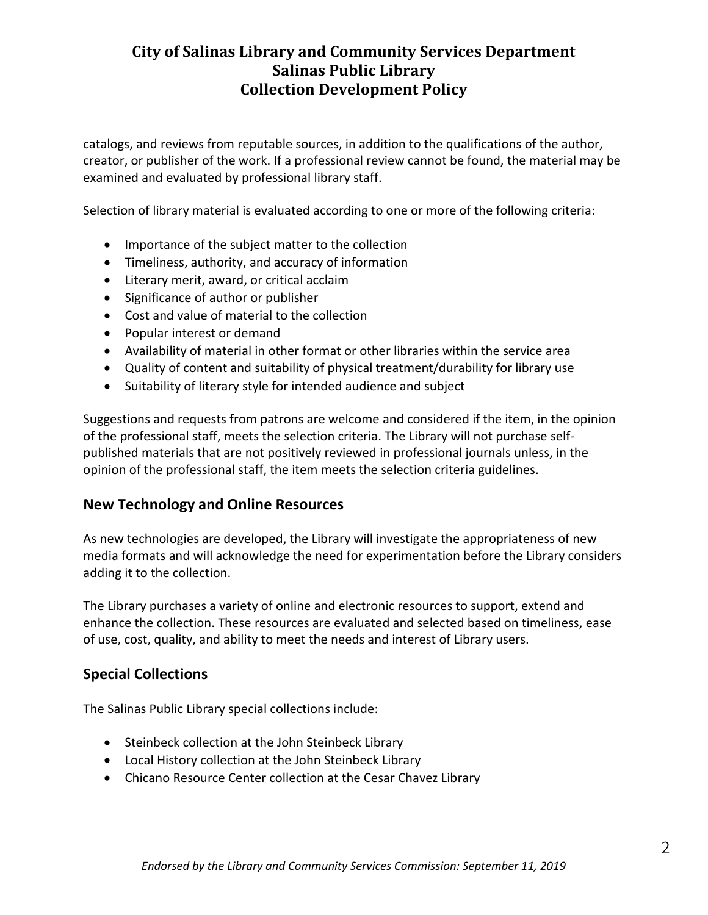catalogs, and reviews from reputable sources, in addition to the qualifications of the author, creator, or publisher of the work. If a professional review cannot be found, the material may be examined and evaluated by professional library staff.

Selection of library material is evaluated according to one or more of the following criteria:

- Importance of the subject matter to the collection
- Timeliness, authority, and accuracy of information
- Literary merit, award, or critical acclaim
- Significance of author or publisher
- Cost and value of material to the collection
- Popular interest or demand
- Availability of material in other format or other libraries within the service area
- Quality of content and suitability of physical treatment/durability for library use
- Suitability of literary style for intended audience and subject

Suggestions and requests from patrons are welcome and considered if the item, in the opinion of the professional staff, meets the selection criteria. The Library will not purchase selfpublished materials that are not positively reviewed in professional journals unless, in the opinion of the professional staff, the item meets the selection criteria guidelines.

#### **New Technology and Online Resources**

As new technologies are developed, the Library will investigate the appropriateness of new media formats and will acknowledge the need for experimentation before the Library considers adding it to the collection.

The Library purchases a variety of online and electronic resources to support, extend and enhance the collection. These resources are evaluated and selected based on timeliness, ease of use, cost, quality, and ability to meet the needs and interest of Library users.

#### **Special Collections**

The Salinas Public Library special collections include:

- Steinbeck collection at the John Steinbeck Library
- Local History collection at the John Steinbeck Library
- Chicano Resource Center collection at the Cesar Chavez Library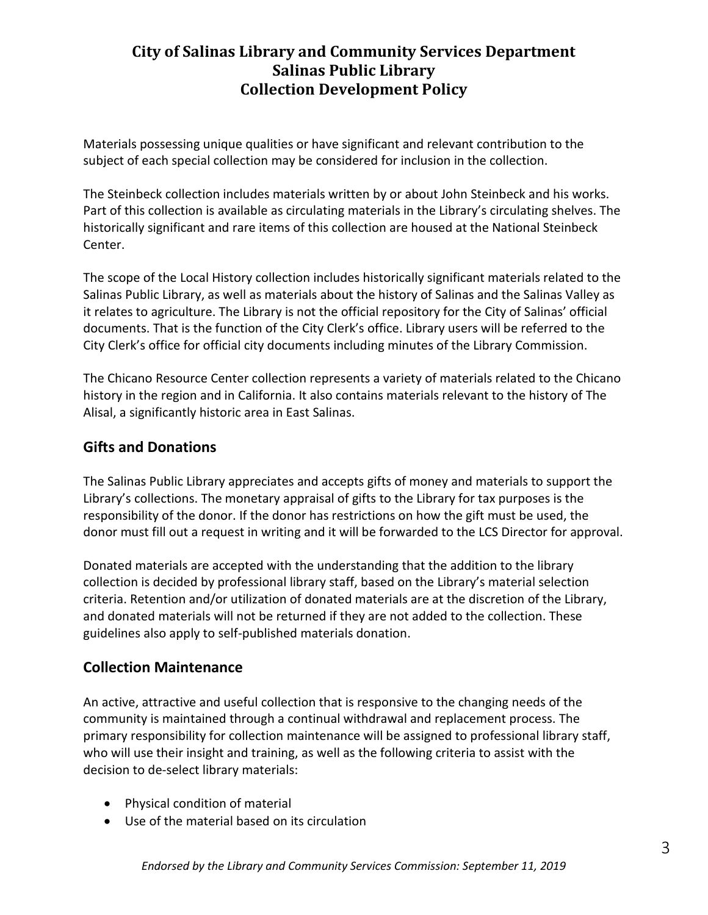Materials possessing unique qualities or have significant and relevant contribution to the subject of each special collection may be considered for inclusion in the collection.

The Steinbeck collection includes materials written by or about John Steinbeck and his works. Part of this collection is available as circulating materials in the Library's circulating shelves. The historically significant and rare items of this collection are housed at the National Steinbeck Center.

The scope of the Local History collection includes historically significant materials related to the Salinas Public Library, as well as materials about the history of Salinas and the Salinas Valley as it relates to agriculture. The Library is not the official repository for the City of Salinas' official documents. That is the function of the City Clerk's office. Library users will be referred to the City Clerk's office for official city documents including minutes of the Library Commission.

The Chicano Resource Center collection represents a variety of materials related to the Chicano history in the region and in California. It also contains materials relevant to the history of The Alisal, a significantly historic area in East Salinas.

## **Gifts and Donations**

The Salinas Public Library appreciates and accepts gifts of money and materials to support the Library's collections. The monetary appraisal of gifts to the Library for tax purposes is the responsibility of the donor. If the donor has restrictions on how the gift must be used, the donor must fill out a request in writing and it will be forwarded to the LCS Director for approval.

Donated materials are accepted with the understanding that the addition to the library collection is decided by professional library staff, based on the Library's material selection criteria. Retention and/or utilization of donated materials are at the discretion of the Library, and donated materials will not be returned if they are not added to the collection. These guidelines also apply to self-published materials donation.

#### **Collection Maintenance**

An active, attractive and useful collection that is responsive to the changing needs of the community is maintained through a continual withdrawal and replacement process. The primary responsibility for collection maintenance will be assigned to professional library staff, who will use their insight and training, as well as the following criteria to assist with the decision to de-select library materials:

- Physical condition of material
- Use of the material based on its circulation